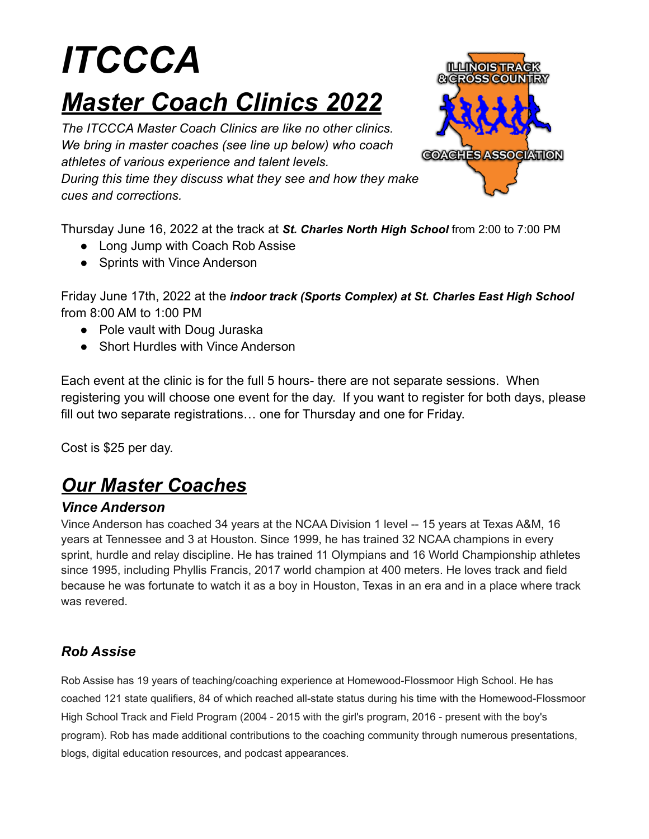# *ITCCCA Master Coach Clinics 2022*

*The ITCCCA Master Coach Clinics are like no other clinics. We bring in master coaches (see line up below) who coach athletes of various experience and talent levels.*

*During this time they discuss what they see and how they make cues and corrections.*



Thursday June 16, 2022 at the track at *St. Charles North High School* from 2:00 to 7:00 PM

- Long Jump with Coach Rob Assise
- Sprints with Vince Anderson

Friday June 17th, 2022 at the *indoor track (Sports Complex) at St. Charles East High School* from 8:00 AM to 1:00 PM

- Pole vault with Doug Juraska
- Short Hurdles with Vince Anderson

Each event at the clinic is for the full 5 hours- there are not separate sessions. When registering you will choose one event for the day. If you want to register for both days, please fill out two separate registrations… one for Thursday and one for Friday.

Cost is \$25 per day.

## *Our Master Coaches*

#### *Vince Anderson*

Vince Anderson has coached 34 years at the NCAA Division 1 level -- 15 years at Texas A&M, 16 years at Tennessee and 3 at Houston. Since 1999, he has trained 32 NCAA champions in every sprint, hurdle and relay discipline. He has trained 11 Olympians and 16 World Championship athletes since 1995, including Phyllis Francis, 2017 world champion at 400 meters. He loves track and field because he was fortunate to watch it as a boy in Houston, Texas in an era and in a place where track was revered.

### *Rob Assise*

Rob Assise has 19 years of teaching/coaching experience at Homewood-Flossmoor High School. He has coached 121 state qualifiers, 84 of which reached all-state status during his time with the Homewood-Flossmoor High School Track and Field Program (2004 - 2015 with the girl's program, 2016 - present with the boy's program). Rob has made additional contributions to the coaching community through numerous presentations, blogs, digital education resources, and podcast appearances.